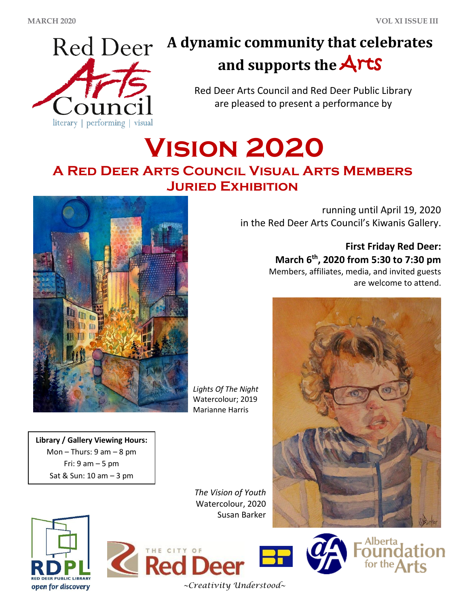

# **A dynamic community that celebrates and supports the** Arts

Red Deer Arts Council and Red Deer Public Library are pleased to present a performance by

# **Vision 2020 A Red Deer Arts Council Visual Arts Members Juried Exhibition**



*Lights Of The Night* Watercolour; 2019 Marianne Harris

**Library / Gallery Viewing Hours:** Mon – Thurs:  $9 \text{ am} - 8 \text{ pm}$ Fri:  $9$  am  $-5$  pm Sat & Sun: 10 am – 3 pm

> *The Vision of Youth* Watercolour, 2020 Susan Barker





THE CITY OF **Red De** 

*~Creativity Understood~*



**First Friday Red Deer: March 6th, 2020 from 5:30 to 7:30 pm**

Members, affiliates, media, and invited guests are welcome to attend.



Alberta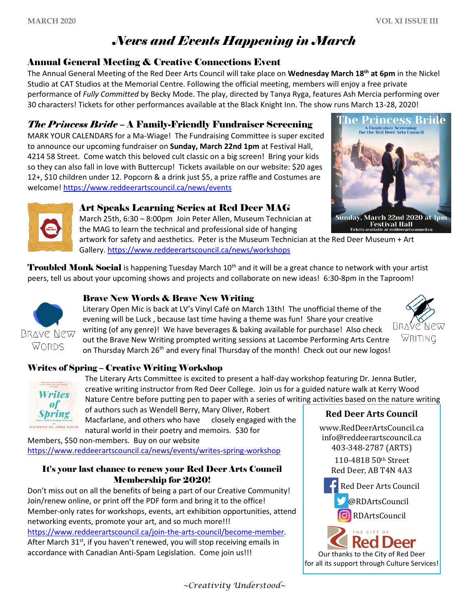## *News and Events Happening in March*

#### Annual General Meeting & Creative Connections Event

The Annual General Meeting of the Red Deer Arts Council will take place on **Wednesday March 18th at 6pm** in the Nickel Studio at CAT Studios at the Memorial Centre. Following the official meeting, members will enjoy a free private performance of *Fully Committed* by Becky Mode. The play, directed by Tanya Ryga, features Ash Mercia performing over 30 characters! Tickets for other performances available at the Black Knight Inn. The show runs March 13-28, 2020!

#### *The Princess Bride* – A Family-Friendly Fundraiser Screening

MARK YOUR CALENDARS for a Ma-Wiage! The Fundraising Committee is super excited to announce our upcoming fundraiser on **Sunday, March 22nd 1pm** at Festival Hall, 4214 58 Street. Come watch this beloved cult classic on a big screen! Bring your kids so they can also fall in love with Buttercup! Tickets available on our website: \$20 ages 12+, \$10 children under 12. Popcorn & a drink just \$5, a prize raffle and Costumes are welcome[! https://www.reddeerartscouncil.ca/news/events](https://www.reddeerartscouncil.ca/news/events)





#### Art Speaks Learning Series at Red Deer MAG

March 25th, 6:30 – 8:00pm Join Peter Allen, Museum Technician at the MAG to learn the technical and professional side of hanging

artwork for safety and aesthetics. Peter is the Museum Technician at the Red Deer Museum + Art Gallery. <https://www.reddeerartscouncil.ca/news/workshops>

**Troubled Monk Social** is happening Tuesday March 10<sup>th</sup> and it will be a great chance to network with your artist peers, tell us about your upcoming shows and projects and collaborate on new ideas! 6:30-8pm in the Taproom!

#### Brave New Words & Brave New Writing

Literary Open Mic is back at LV's Vinyl Café on March 13th! The unofficial theme of the evening will be Luck , because last time having a theme was fun! Share your creative writing (of any genre)! We have beverages & baking available for purchase! Also check out the Brave New Writing prompted writing sessions at Lacombe Performing Arts Centre on Thursday March  $26<sup>th</sup>$  and every final Thursday of the month! Check out our new logos!



BRAVE NEW WORDS

#### Writes of Spring – Creative Writing Workshop



The Literary Arts Committee is excited to present a half-day workshop featuring Dr. Jenna Butler, creative writing instructor from Red Deer College. Join us for a guided nature walk at Kerry Wood Nature Centre before putting pen to paper with a series of writing activities based on the nature writing

of authors such as Wendell Berry, Mary Oliver, Robert Macfarlane, and others who have closely engaged with the natural world in their poetry and memoirs. \$30 for

Members, \$50 non-members. Buy on our website <https://www.reddeerartscouncil.ca/news/events/writes-spring-workshop>

#### It's your last chance to renew your Red Deer Arts Council Membership for 2020!

Don't miss out on all the benefits of being a part of our Creative Community! Join/renew online, or print off the PDF form and bring it to the office! Member-only rates for workshops, events, art exhibition opportunities, attend networking events, promote your art, and so much more!!! [https://www.reddeerartscouncil.ca/join-the-arts-council/become-member.](https://www.reddeerartscouncil.ca/join-the-arts-council/become-member) After March 31<sup>st</sup>, if you haven't renewed, you will stop receiving emails in accordance with Canadian Anti-Spam Legislation. Come join us!!!

### **Red Deer Arts Council**

[www.RedDeerArtsCouncil.ca](http://www.reddeerartscouncil.ca/) info@reddeerartscouncil.ca 403-348-2787 (ARTS)

> 110-4818 50th Street Red Deer, AB T4N 4A3



RDArtsCouncil

ked Deer Our thanks to the City of Red Deer for all its support through Culture Services!